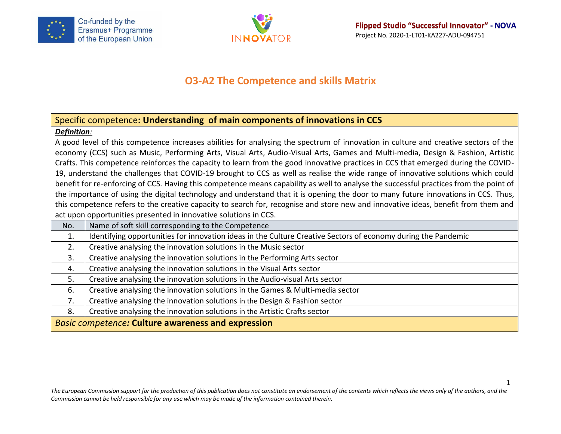



# **O3-A2 The Competence and skills Matrix**

## Specific competence**: Understanding of main components of innovations in CCS**

#### *Definition:*

A good level of this competence increases abilities for analysing the spectrum of innovation in culture and creative sectors of the economy (CCS) such as Music, Performing Arts, Visual Arts, Audio-Visual Arts, Games and Multi-media, Design & Fashion, Artistic Crafts. This competence reinforces the capacity to learn from the good innovative practices in CCS that emerged during the COVID-19, understand the challenges that COVID-19 brought to CCS as well as realise the wide range of innovative solutions which could benefit for re-enforcing of CCS. Having this competence means capability as well to analyse the successful practices from the point of the importance of using the digital technology and understand that it is opening the door to many future innovations in CCS. Thus, this competence refers to the creative capacity to search for, recognise and store new and innovative ideas, benefit from them and act upon opportunities presented in innovative solutions in CCS.

| No.                                                       | Name of soft skill corresponding to the Competence                                                            |  |
|-----------------------------------------------------------|---------------------------------------------------------------------------------------------------------------|--|
| 1.                                                        | Identifying opportunities for innovation ideas in the Culture Creative Sectors of economy during the Pandemic |  |
| 2.                                                        | Creative analysing the innovation solutions in the Music sector                                               |  |
| 3.                                                        | Creative analysing the innovation solutions in the Performing Arts sector                                     |  |
| 4.                                                        | Creative analysing the innovation solutions in the Visual Arts sector                                         |  |
| 5.                                                        | Creative analysing the innovation solutions in the Audio-visual Arts sector                                   |  |
| 6.                                                        | Creative analysing the innovation solutions in the Games & Multi-media sector                                 |  |
| 7.                                                        | Creative analysing the innovation solutions in the Design & Fashion sector                                    |  |
| 8.                                                        | Creative analysing the innovation solutions in the Artistic Crafts sector                                     |  |
| <b>Basic competence: Culture awareness and expression</b> |                                                                                                               |  |

*The European Commission support for the production of this publication does not constitute an endorsement of the contents which reflects the views only of the authors, and the Commission cannot be held responsible for any use which may be made of the information contained therein.*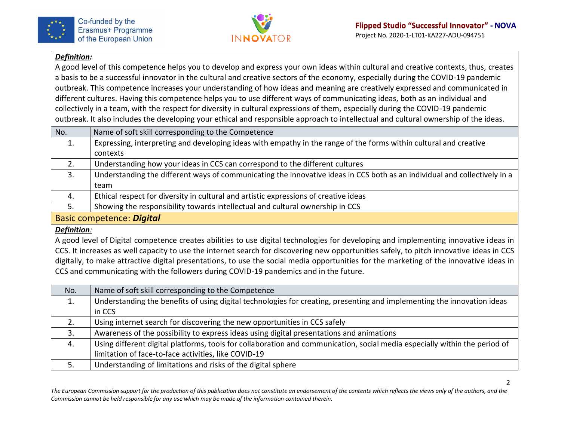



#### *Definition:*

A good level of this competence helps you to develop and express your own ideas within cultural and creative contexts, thus, creates a basis to be a successful innovator in the cultural and creative sectors of the economy, especially during the COVID-19 pandemic outbreak. This competence increases your understanding of how ideas and meaning are creatively expressed and communicated in different cultures. Having this competence helps you to use different ways of communicating ideas, both as an individual and collectively in a team, with the respect for diversity in cultural expressions of them, especially during the COVID-19 pandemic outbreak. It also includes the developing your ethical and responsible approach to intellectual and cultural ownership of the ideas.

| No.                              | Name of soft skill corresponding to the Competence                                                                        |
|----------------------------------|---------------------------------------------------------------------------------------------------------------------------|
| 1.                               | Expressing, interpreting and developing ideas with empathy in the range of the forms within cultural and creative         |
|                                  | contexts                                                                                                                  |
| 2.                               | Understanding how your ideas in CCS can correspond to the different cultures                                              |
| 3.                               | Understanding the different ways of communicating the innovative ideas in CCS both as an individual and collectively in a |
|                                  | team                                                                                                                      |
| 4.                               | Ethical respect for diversity in cultural and artistic expressions of creative ideas                                      |
| 5.                               | Showing the responsibility towards intellectual and cultural ownership in CCS                                             |
| <b>Basic competence: Digital</b> |                                                                                                                           |

#### *Definition:*

A good level of Digital competence creates abilities to use digital technologies for developing and implementing innovative ideas in CCS. It increases as well capacity to use the internet search for discovering new opportunities safely, to pitch innovative ideas in CCS digitally, to make attractive digital presentations, to use the social media opportunities for the marketing of the innovative ideas in CCS and communicating with the followers during COVID-19 pandemics and in the future.

| No. | Name of soft skill corresponding to the Competence                                                                         |
|-----|----------------------------------------------------------------------------------------------------------------------------|
| 1.  | Understanding the benefits of using digital technologies for creating, presenting and implementing the innovation ideas    |
|     | in CCS                                                                                                                     |
| 2.  | Using internet search for discovering the new opportunities in CCS safely                                                  |
| 3.  | Awareness of the possibility to express ideas using digital presentations and animations                                   |
| 4.  | Using different digital platforms, tools for collaboration and communication, social media especially within the period of |
|     | limitation of face-to-face activities, like COVID-19                                                                       |
|     | Understanding of limitations and risks of the digital sphere                                                               |

*The European Commission support for the production of this publication does not constitute an endorsement of the contents which reflects the views only of the authors, and the Commission cannot be held responsible for any use which may be made of the information contained therein.*